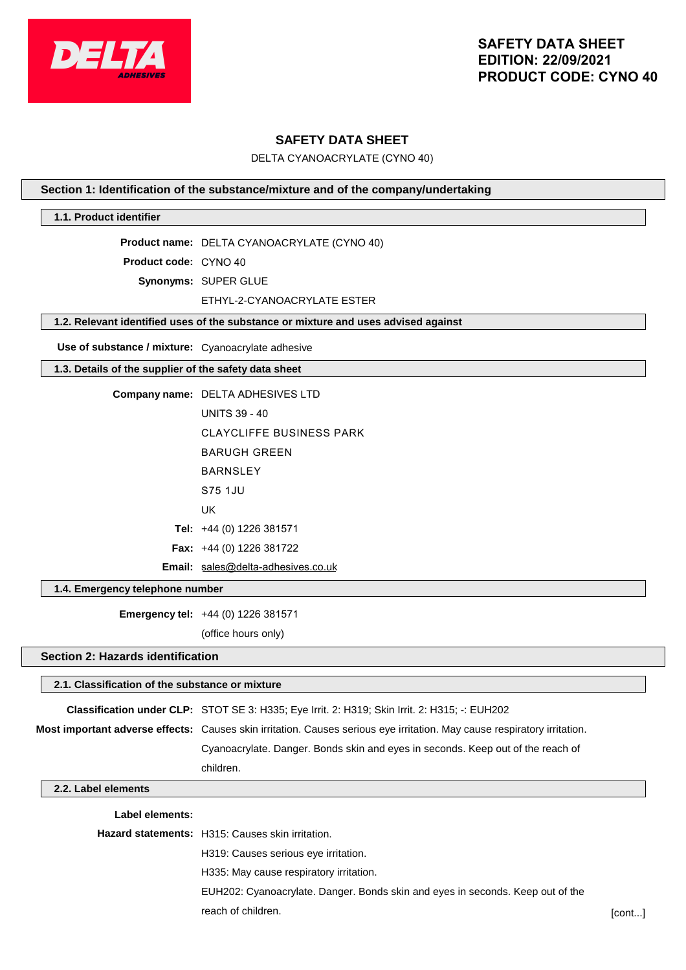

## **SAFETY DATA SHEET**

DELTA CYANOACRYLATE (CYNO 40)

## **Section 1: Identification of the substance/mixture and of the company/undertaking**

## **1.1. Product identifier**

**Product name:** DELTA CYANOACRYLATE (CYNO 40)

**Product code:** CYNO 40

**Synonyms:** SUPER GLUE

#### ETHYL-2-CYANOACRYLATE ESTER

## **1.2. Relevant identified uses of the substance or mixture and uses advised against**

**Use of substance / mixture:** Cyanoacrylate adhesive

#### **1.3. Details of the supplier of the safety data sheet**

| Company name: DELTA ADHESIVES LTD  |
|------------------------------------|
| <b>UNITS 39 - 40</b>               |
| CLAYCLIFFE BUSINESS PARK           |
| BARUGH GRFFN                       |
| <b>BARNSI FY</b>                   |
| S75 1.JU                           |
| UK                                 |
| <b>Tel:</b> $+44$ (0) 1226 381571  |
| <b>Fax:</b> $+44$ (0) 1226 381722  |
| Email: sales@delta-adhesives.co.uk |

#### **1.4. Emergency telephone number**

**Emergency tel:** +44 (0) 1226 381571

(office hours only)

## **Section 2: Hazards identification**

# **2.1. Classification of the substance or mixture Classification under CLP:** STOT SE 3: H335; Eye Irrit. 2: H319; Skin Irrit. 2: H315; -: EUH202 **Most important adverse effects:** Causes skin irritation. Causes serious eye irritation. May cause respiratory irritation. Cyanoacrylate. Danger. Bonds skin and eyes in seconds. Keep out of the reach of children.

## **2.2. Label elements**

#### **Label elements:**

| <b>Hazard statements:</b> H315: Causes skin irritation.                        |        |
|--------------------------------------------------------------------------------|--------|
| H319: Causes serious eye irritation.                                           |        |
| H335: May cause respiratory irritation.                                        |        |
| EUH202: Cyanoacrylate. Danger. Bonds skin and eyes in seconds. Keep out of the |        |
| reach of children.                                                             | [cont] |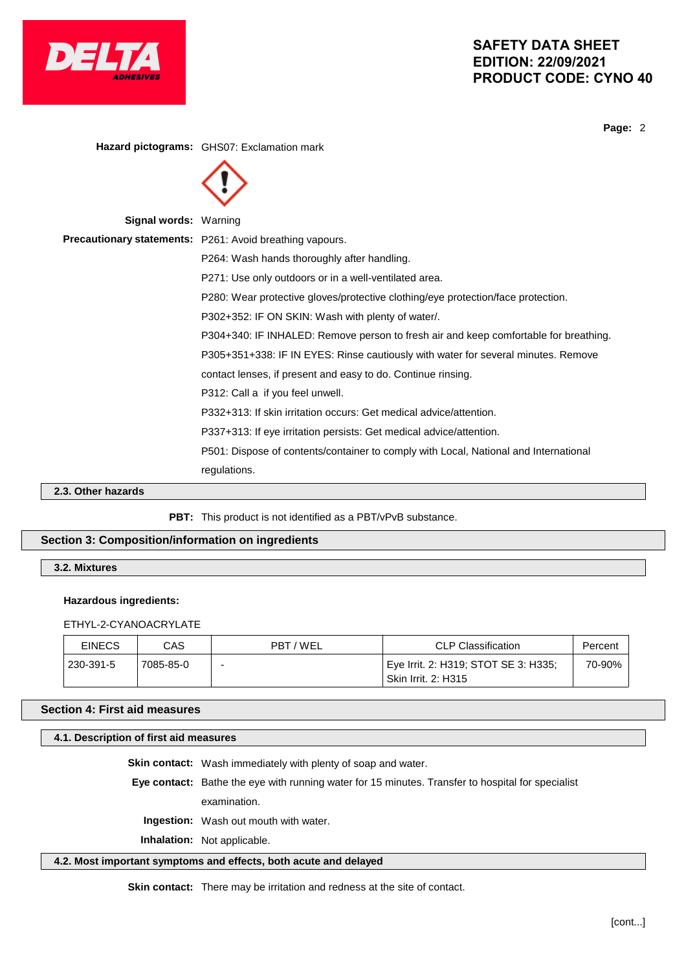

**Page:** 2

**Hazard pictograms:** GHS07: Exclamation mark **Signal words:** Warning **Precautionary statements:** P261: Avoid breathing vapours. P264: Wash hands thoroughly after handling. P271: Use only outdoors or in a well-ventilated area. P280: Wear protective gloves/protective clothing/eye protection/face protection. P302+352: IF ON SKIN: Wash with plenty of water/. P304+340: IF INHALED: Remove person to fresh air and keep comfortable for breathing. P305+351+338: IF IN EYES: Rinse cautiously with water for several minutes. Remove contact lenses, if present and easy to do. Continue rinsing. P312: Call a if you feel unwell. P332+313: If skin irritation occurs: Get medical advice/attention. P337+313: If eye irritation persists: Get medical advice/attention. P501: Dispose of contents/container to comply with Local, National and International regulations.

**2.3. Other hazards**

PBT: This product is not identified as a PBT/vPvB substance.

## **Section 3: Composition/information on ingredients**

**3.2. Mixtures**

#### **Hazardous ingredients:**

ETHYL-2-CYANOACRYLATE

| <b>EINECS</b> | CAS       | PBT/WEL | CLP Classification                                                              | Percent |
|---------------|-----------|---------|---------------------------------------------------------------------------------|---------|
| 230-391-5     | 7085-85-0 | -       | <sup>∣</sup> Eye Irrit. 2: H319; STOT SE 3: H335;<br><b>Skin Irrit. 2: H315</b> | 70-90%  |

## **Section 4: First aid measures**

## **4.1. Description of first aid measures**

**Skin contact:** Wash immediately with plenty of soap and water.

**Eye contact:** Bathe the eye with running water for 15 minutes. Transfer to hospital for specialist

examination.

**Ingestion:** Wash out mouth with water.

**Inhalation:** Not applicable.

## **4.2. Most important symptoms and effects, both acute and delayed**

**Skin contact:** There may be irritation and redness at the site of contact.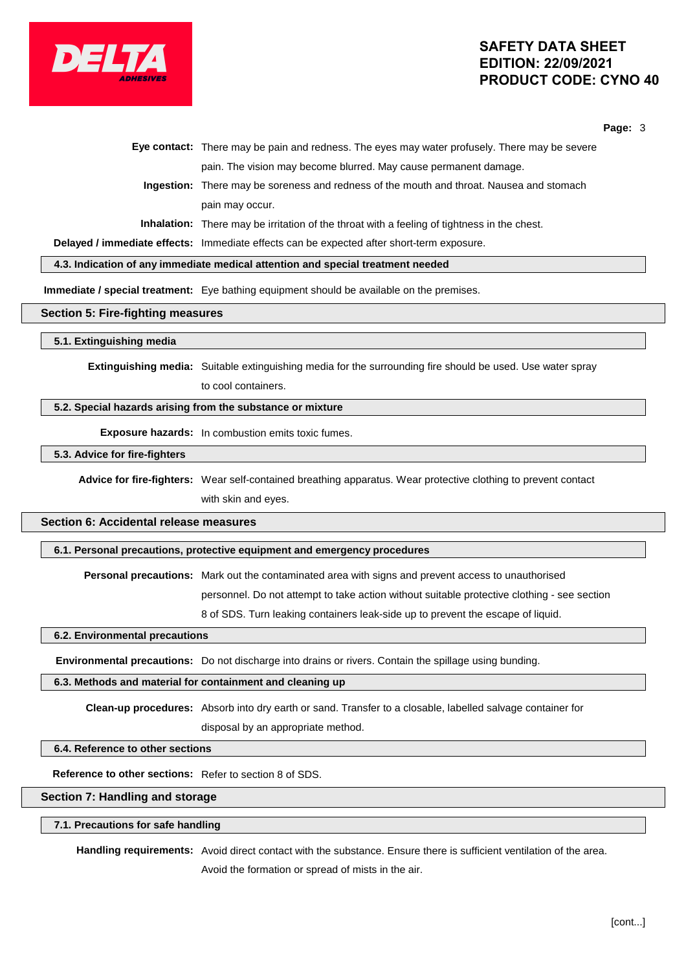

**Page:** 3

|  | Eye contact: There may be pain and redness. The eyes may water profusely. There may be severe      |
|--|----------------------------------------------------------------------------------------------------|
|  | pain. The vision may become blurred. May cause permanent damage.                                   |
|  | <b>Ingestion:</b> There may be soreness and redness of the mouth and throat. Nausea and stomach    |
|  | pain may occur.                                                                                    |
|  | <b>Inhalation:</b> There may be irritation of the throat with a feeling of tightness in the chest. |
|  |                                                                                                    |

**Delayed / immediate effects:** Immediate effects can be expected after short-term exposure.

**4.3. Indication of any immediate medical attention and special treatment needed**

**Immediate / special treatment:** Eye bathing equipment should be available on the premises.

#### **Section 5: Fire-fighting measures**

**5.1. Extinguishing media**

**Extinguishing media:** Suitable extinguishing media for the surrounding fire should be used. Use water spray to cool containers.

## **5.2. Special hazards arising from the substance or mixture**

**Exposure hazards:** In combustion emits toxic fumes.

## **5.3. Advice for fire-fighters**

**Advice for fire-fighters:** Wear self-contained breathing apparatus. Wear protective clothing to prevent contact with skin and eyes.

## **Section 6: Accidental release measures**

## **6.1. Personal precautions, protective equipment and emergency procedures**

**Personal precautions:** Mark out the contaminated area with signs and prevent access to unauthorised

personnel. Do not attempt to take action without suitable protective clothing - see section

8 of SDS. Turn leaking containers leak-side up to prevent the escape of liquid.

#### **6.2. Environmental precautions**

**Environmental precautions:** Do not discharge into drains or rivers. Contain the spillage using bunding.

#### **6.3. Methods and material for containment and cleaning up**

**Clean-up procedures:** Absorb into dry earth or sand. Transfer to a closable, labelled salvage container for disposal by an appropriate method.

## **6.4. Reference to other sections**

**Reference to other sections:** Refer to section 8 of SDS.

## **Section 7: Handling and storage**

#### **7.1. Precautions for safe handling**

**Handling requirements:** Avoid direct contact with the substance. Ensure there is sufficient ventilation of the area. Avoid the formation or spread of mists in the air.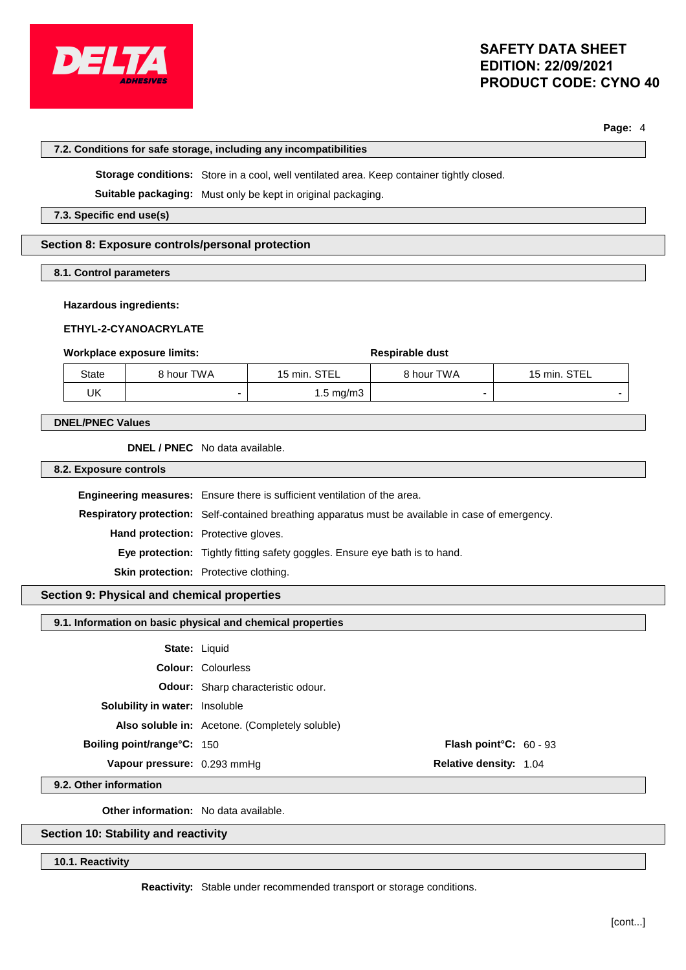

**Page:** 4

#### **7.2. Conditions for safe storage, including any incompatibilities**

**Storage conditions:** Store in a cool, well ventilated area. Keep container tightly closed.

**Suitable packaging:** Must only be kept in original packaging.

**7.3. Specific end use(s)**

## **Section 8: Exposure controls/personal protection**

**8.1. Control parameters**

#### **Hazardous ingredients:**

#### **ETHYL-2-CYANOACRYLATE**

#### **Workplace exposure limits:**  $\qquad \qquad$  **Respirable** dust

| State | 8 hour TWA | 15 min. STEL | 8 hour TWA | 15 min. STEL |
|-------|------------|--------------|------------|--------------|
| UK    |            | 1.5 mg/m3    |            |              |

#### **DNEL/PNEC Values**

**DNEL / PNEC** No data available.

**8.2. Exposure controls**

**Engineering measures:** Ensure there is sufficient ventilation of the area. **Respiratory protection:** Self-contained breathing apparatus must be available in case of emergency. **Hand protection:** Protective gloves. **Eye protection:** Tightly fitting safety goggles. Ensure eye bath is to hand. **Skin protection:** Protective clothing.

## **Section 9: Physical and chemical properties**

## **9.1. Information on basic physical and chemical properties**

| <b>State: Liquid</b>                  |                                                |                                  |  |
|---------------------------------------|------------------------------------------------|----------------------------------|--|
|                                       | <b>Colour: Colourless</b>                      |                                  |  |
|                                       | <b>Odour:</b> Sharp characteristic odour.      |                                  |  |
| <b>Solubility in water:</b> Insoluble |                                                |                                  |  |
|                                       | Also soluble in: Acetone. (Completely soluble) |                                  |  |
| <b>Boiling point/range°C: 150</b>     |                                                | <b>Flash point °C:</b> $60 - 93$ |  |
| Vapour pressure: 0.293 mmHq           |                                                | <b>Relative density: 1.04</b>    |  |
|                                       |                                                |                                  |  |

**9.2. Other information**

**Other information:** No data available.

## **Section 10: Stability and reactivity**

**10.1. Reactivity**

**Reactivity:** Stable under recommended transport or storage conditions.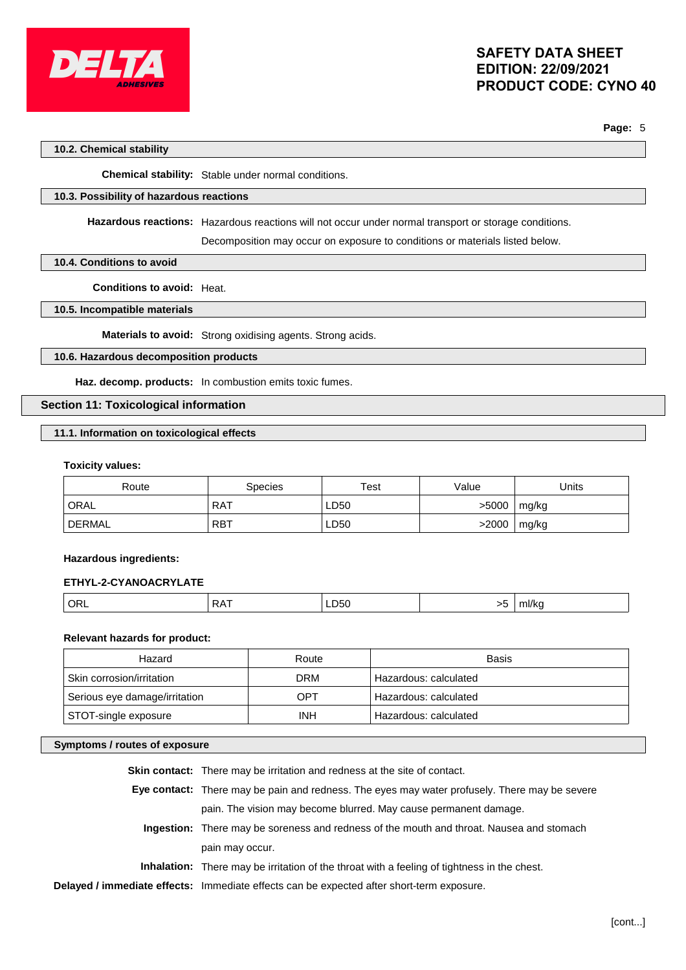

**Page:** 5

## **10.2. Chemical stability**

**Chemical stability:** Stable under normal conditions.

## **10.3. Possibility of hazardous reactions**

**Hazardous reactions:** Hazardous reactions will not occur under normal transport or storage conditions.

Decomposition may occur on exposure to conditions or materials listed below.

## **10.4. Conditions to avoid**

**Conditions to avoid:** Heat.

## **10.5. Incompatible materials**

**Materials to avoid:** Strong oxidising agents. Strong acids.

## **10.6. Hazardous decomposition products**

**Haz. decomp. products:** In combustion emits toxic fumes.

## **Section 11: Toxicological information**

## **11.1. Information on toxicological effects**

#### **Toxicity values:**

| Route         | Species    | Test | Value | Jnits |
|---------------|------------|------|-------|-------|
| ORAL          | <b>RAT</b> | LD50 | >5000 | mg/kg |
| <b>DERMAL</b> | <b>RBT</b> | LD50 | >2000 | mg/kg |

#### **Hazardous ingredients:**

## **ETHYL-2-CYANOACRYLATE**

|  |  | ∼<br> | LD50 | $\sim$ | <b>THIRE</b> |
|--|--|-------|------|--------|--------------|
|--|--|-------|------|--------|--------------|

## **Relevant hazards for product:**

| Hazard                        | Route      | Basis                 |
|-------------------------------|------------|-----------------------|
| Skin corrosion/irritation     | <b>DRM</b> | Hazardous: calculated |
| Serious eye damage/irritation | OPT        | Hazardous: calculated |
| STOT-single exposure          | <b>INH</b> | Hazardous: calculated |

## **Symptoms / routes of exposure**

| <b>Skin contact:</b> There may be irritation and redness at the site of contact.                   |
|----------------------------------------------------------------------------------------------------|
| Eye contact: There may be pain and redness. The eyes may water profusely. There may be severe      |
| pain. The vision may become blurred. May cause permanent damage.                                   |
| Ingestion: There may be soreness and redness of the mouth and throat. Nausea and stomach           |
| pain may occur.                                                                                    |
| <b>Inhalation:</b> There may be irritation of the throat with a feeling of tightness in the chest. |
| Delayed / immediate effects: Immediate effects can be expected after short-term exposure.          |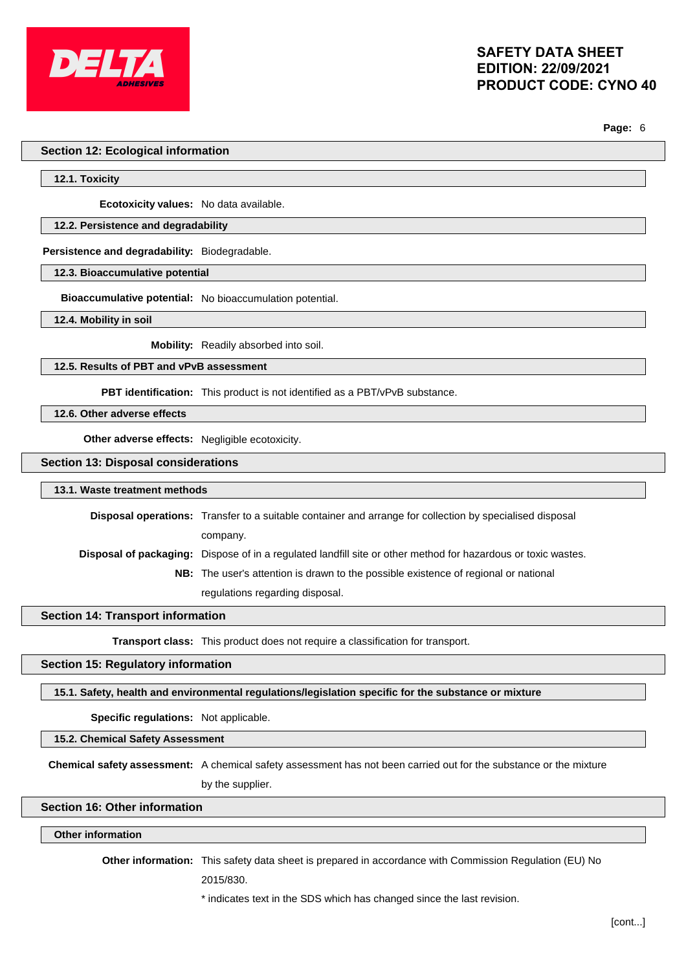

**Page:** 6

## **Section 12: Ecological information**

**12.1. Toxicity**

**Ecotoxicity values:** No data available.

## **12.2. Persistence and degradability**

**Persistence and degradability:** Biodegradable.

**12.3. Bioaccumulative potential**

**Bioaccumulative potential:** No bioaccumulation potential.

**12.4. Mobility in soil**

**Mobility:** Readily absorbed into soil.

**12.5. Results of PBT and vPvB assessment**

**PBT identification:** This product is not identified as a PBT/vPvB substance.

**12.6. Other adverse effects**

**Other adverse effects:** Negligible ecotoxicity.

**Section 13: Disposal considerations**

**13.1. Waste treatment methods**

**Disposal operations:** Transfer to a suitable container and arrange for collection by specialised disposal company. **Disposal of packaging:** Dispose of in a regulated landfill site or other method for hazardous or toxic wastes. **NB:** The user's attention is drawn to the possible existence of regional or national

regulations regarding disposal.

### **Section 14: Transport information**

**Transport class:** This product does not require a classification for transport.

#### **Section 15: Regulatory information**

**15.1. Safety, health and environmental regulations/legislation specific for the substance or mixture**

**Specific regulations:** Not applicable.

**15.2. Chemical Safety Assessment**

**Chemical safety assessment:** A chemical safety assessment has not been carried out for the substance or the mixture by the supplier.

## **Section 16: Other information**

#### **Other information**

**Other information:** This safety data sheet is prepared in accordance with Commission Regulation (EU) No

2015/830.

\* indicates text in the SDS which has changed since the last revision.